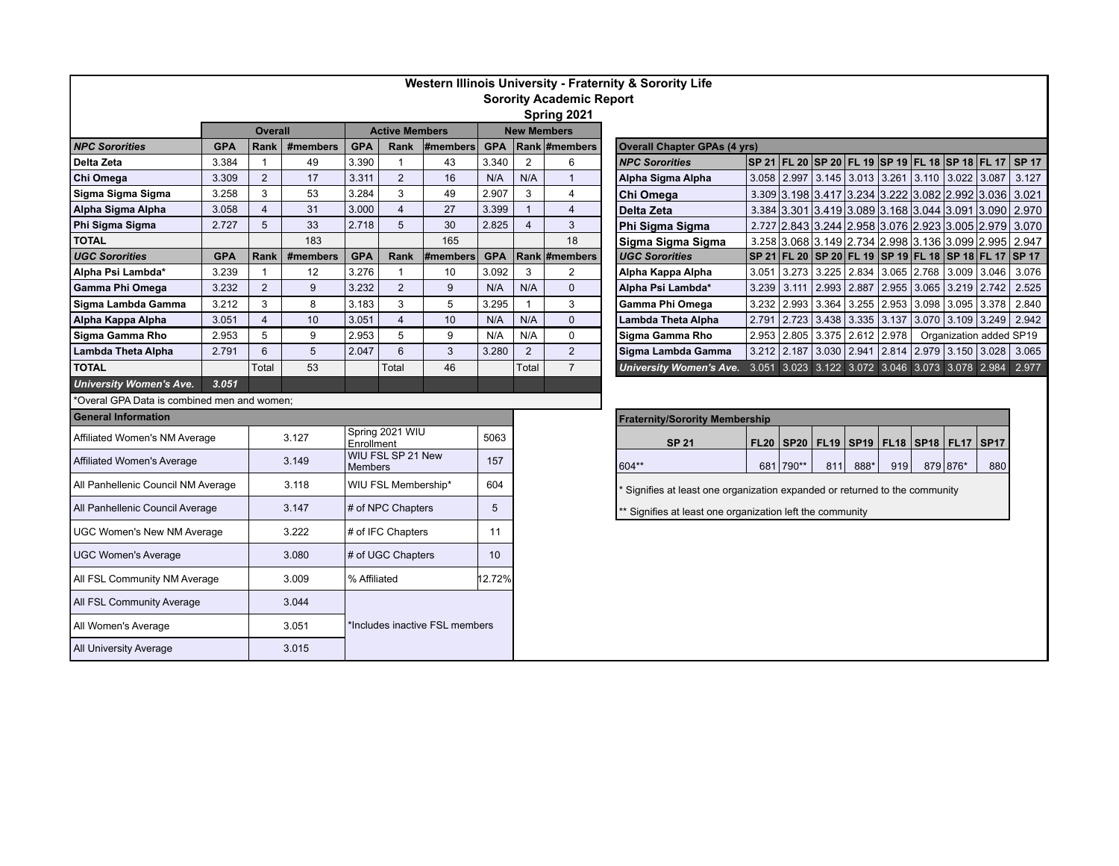| Western Illinois University - Fraternity & Sorority Life<br><b>Sorority Academic Report</b> |            |                |          |                                     |                       |          |            |                |                                                                       |                                                                                                                                |  |  |  |  |  |  |  |  |  |  |  |
|---------------------------------------------------------------------------------------------|------------|----------------|----------|-------------------------------------|-----------------------|----------|------------|----------------|-----------------------------------------------------------------------|--------------------------------------------------------------------------------------------------------------------------------|--|--|--|--|--|--|--|--|--|--|--|
|                                                                                             |            |                |          |                                     |                       |          |            |                | Spring 2021                                                           |                                                                                                                                |  |  |  |  |  |  |  |  |  |  |  |
|                                                                                             |            | <b>Overall</b> |          |                                     | <b>Active Members</b> |          |            |                | <b>New Members</b>                                                    |                                                                                                                                |  |  |  |  |  |  |  |  |  |  |  |
| <b>NPC Sororities</b>                                                                       | <b>GPA</b> | Rank           | #members | <b>GPA</b>                          | <b>Rank</b>           | #members | <b>GPA</b> |                | Rank #members                                                         | <b>Overall Chapter GPAs (4 yrs)</b>                                                                                            |  |  |  |  |  |  |  |  |  |  |  |
| Delta Zeta                                                                                  | 3.384      | $\overline{1}$ | 49       | 3.390                               | $\mathbf{1}$          | 43       | 3.340      | 2              | 6                                                                     | SP 21 FL 20 SP 20 FL 19 SP 19 FL 18 SP 18 FL 17<br>$ $ SP 17<br><b>NPC Sororities</b>                                          |  |  |  |  |  |  |  |  |  |  |  |
| Chi Omega                                                                                   | 3.309      | $\overline{2}$ | 17       | 3.311                               | 2                     | 16       | N/A        | N/A            | $\overline{1}$                                                        | 3.058 2.997 3.145 3.013 3.261 3.110 3.022 3.087<br>3.127<br>Alpha Sigma Alpha                                                  |  |  |  |  |  |  |  |  |  |  |  |
| Sigma Sigma Sigma                                                                           | 3.258      | 3              | 53       | 3.284                               | 3                     | 49       | 2.907      | 3              | $\overline{4}$                                                        | 3.309 3.198 3.417 3.234 3.222 3.082 2.992 3.036 3.021<br>Chi Omega                                                             |  |  |  |  |  |  |  |  |  |  |  |
| Alpha Sigma Alpha                                                                           | 3.058      | $\overline{4}$ | 31       | 3.000                               | $\overline{4}$        | 27       | 3.399      | $\mathbf{1}$   | $\overline{4}$                                                        | 3.384 3.301 3.419 3.089 3.168 3.044 3.091 3.090 2.970<br>Delta Zeta                                                            |  |  |  |  |  |  |  |  |  |  |  |
| Phi Sigma Sigma                                                                             | 2.727      | 5              | 33       | 2.718                               | 5                     | 30       | 2.825      | $\overline{4}$ | 3                                                                     | 2.727 2.843 3.244 2.958 3.076 2.923 3.005 2.979 3.070<br>Phi Sigma Sigma                                                       |  |  |  |  |  |  |  |  |  |  |  |
| <b>TOTAL</b>                                                                                |            |                | 183      |                                     |                       | 165      |            |                | 18                                                                    | 3.258 3.068 3.149 2.734 2.998 3.136 3.099 2.995<br>2.947<br>Sigma Sigma Sigma                                                  |  |  |  |  |  |  |  |  |  |  |  |
| <b>UGC Sororities</b>                                                                       | <b>GPA</b> | <b>Rank</b>    | #members | <b>GPA</b>                          | Rank                  | #members | <b>GPA</b> |                | Rank #members                                                         | SP 21 FL 20 SP 20 FL 19 SP 19 FL 18 SP 18 FL 17 SP 17<br><b>UGC Sororities</b>                                                 |  |  |  |  |  |  |  |  |  |  |  |
| Alpha Psi Lambda*                                                                           | 3.239      | -1             | 12       | 3.276                               | $\mathbf{1}$          | 10       | 3.092      | 3              | 2                                                                     | 3.273<br>Alpha Kappa Alpha<br>3.225<br>2.834 3.065 2.768 3.009 3.046<br>3.076<br>3.051                                         |  |  |  |  |  |  |  |  |  |  |  |
| Gamma Phi Omega                                                                             | 3.232      | $\overline{2}$ | 9        | 3.232                               | 2                     | 9        | N/A        | N/A            | $\mathbf{0}$                                                          | Alpha Psi Lambda*<br>3.239<br>3.111<br>$\vert$ 2.993 $\vert$ 2.887 $\vert$ 2.955 $\vert$ 3.065 $\vert$ 3.219<br>2.742<br>2.525 |  |  |  |  |  |  |  |  |  |  |  |
| Sigma Lambda Gamma                                                                          | 3.212      | 3              | 8        | 3.183                               | 3                     | 5        | 3.295      | $\mathbf{1}$   | 3                                                                     | 3.232<br>2.993<br> 3.255 2.953 3.098 3.095<br>Gamma Phi Omega<br>3.364<br>3.378<br>2.840                                       |  |  |  |  |  |  |  |  |  |  |  |
| Alpha Kappa Alpha                                                                           | 3.051      | $\overline{4}$ | 10       | 3.051                               | $\overline{4}$        | 10       | N/A        | N/A            | $\mathbf{0}$                                                          | 2.791<br>$\vert$ 2.723 $\vert$ 3.438 $\vert$ 3.335 $\vert$ 3.137<br>3.070 3.109 3.249<br>Lambda Theta Alpha<br>2.942           |  |  |  |  |  |  |  |  |  |  |  |
| Sigma Gamma Rho                                                                             | 2.953      | 5              | 9        | 2.953                               | 5                     | 9        | N/A        | N/A            | $\mathbf 0$                                                           | 2.953<br>2.805 3.375 2.612 2.978<br>Sigma Gamma Rho<br>Organization added SP19                                                 |  |  |  |  |  |  |  |  |  |  |  |
| <b>Lambda Theta Alpha</b>                                                                   | 2.791      | 6              | 5        | 2.047                               | 6                     | 3        | 3.280      | $\overline{2}$ | $\overline{2}$                                                        | 3.212   2.187   3.030   2.941   2.814   2.979   3.150   3.028   3.065<br>Sigma Lambda Gamma                                    |  |  |  |  |  |  |  |  |  |  |  |
| <b>TOTAL</b>                                                                                |            | Total          | 53       |                                     | Total                 | 46       |            | Total          | $\overline{7}$                                                        | University Women's Ave. 3.051 3.023 3.122 3.072 3.046 3.073 3.078 2.984 2.977                                                  |  |  |  |  |  |  |  |  |  |  |  |
| <b>University Women's Ave.</b>                                                              | 3.051      |                |          |                                     |                       |          |            |                |                                                                       |                                                                                                                                |  |  |  |  |  |  |  |  |  |  |  |
| *Overal GPA Data is combined men and women;                                                 |            |                |          |                                     |                       |          |            |                |                                                                       |                                                                                                                                |  |  |  |  |  |  |  |  |  |  |  |
| <b>General Information</b>                                                                  |            |                |          |                                     |                       |          |            |                |                                                                       | <b>Fraternity/Sorority Membership</b>                                                                                          |  |  |  |  |  |  |  |  |  |  |  |
| Affiliated Women's NM Average                                                               |            | 3.127          |          | Spring 2021 WIU<br>Enrollment       |                       | 5063     |            |                | FL20   SP20   FL19   SP19   FL18   SP18   FL17   SP17<br><b>SP 21</b> |                                                                                                                                |  |  |  |  |  |  |  |  |  |  |  |
| <b>Affiliated Women's Average</b>                                                           |            | 3.149          |          | WIU FSL SP 21 New<br><b>Members</b> |                       |          | 157        |                |                                                                       | 604**<br>681 790**<br>811<br>888*<br>919<br>879 876*<br>880                                                                    |  |  |  |  |  |  |  |  |  |  |  |
| All Panhellenic Council NM Average                                                          |            | 3.118          |          | WIU FSL Membership*                 |                       |          | 604        |                |                                                                       | Signifies at least one organization expanded or returned to the community                                                      |  |  |  |  |  |  |  |  |  |  |  |
| All Panhellenic Council Average                                                             |            | 3.147          |          | # of NPC Chapters                   |                       |          | 5          |                |                                                                       | ** Signifies at least one organization left the community                                                                      |  |  |  |  |  |  |  |  |  |  |  |
| <b>UGC Women's New NM Average</b>                                                           |            | 3.222          |          | # of IFC Chapters                   |                       |          | 11         |                |                                                                       |                                                                                                                                |  |  |  |  |  |  |  |  |  |  |  |
| <b>UGC Women's Average</b>                                                                  |            | 3.080          |          | # of UGC Chapters                   |                       |          | 10         |                |                                                                       |                                                                                                                                |  |  |  |  |  |  |  |  |  |  |  |
| All FSL Community NM Average                                                                |            | 3.009          |          | % Affiliated                        |                       |          | 12.72%     |                |                                                                       |                                                                                                                                |  |  |  |  |  |  |  |  |  |  |  |
| All FSL Community Average                                                                   |            | 3.044          |          |                                     |                       |          |            |                |                                                                       |                                                                                                                                |  |  |  |  |  |  |  |  |  |  |  |
| All Women's Average                                                                         |            | 3.051          |          | *Includes inactive FSL members      |                       |          |            |                |                                                                       |                                                                                                                                |  |  |  |  |  |  |  |  |  |  |  |
| <b>All University Average</b>                                                               |            | 3.015          |          |                                     |                       |          |            |                |                                                                       |                                                                                                                                |  |  |  |  |  |  |  |  |  |  |  |